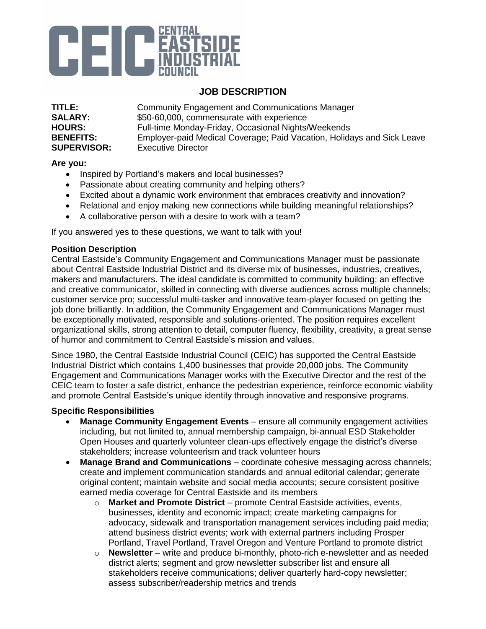

# **JOB DESCRIPTION**

**TITLE:** Community Engagement and Communications Manager **SALARY:** \$50-60,000, commensurate with experience<br> **HOURS:** Full-time Monday-Friday, Occasional Nights Full-time Monday-Friday, Occasional Nights/Weekends **BENEFITS:** Employer-paid Medical Coverage; Paid Vacation, Holidays and Sick Leave **SUPERVISOR:** Executive Director

### **Are you:**

- Inspired by Portland's makers and local businesses?
- Passionate about creating community and helping others?
- Excited about a dynamic work environment that embraces creativity and innovation?
- Relational and enjoy making new connections while building meaningful relationships?
- A collaborative person with a desire to work with a team?

If you answered yes to these questions, we want to talk with you!

### **Position Description**

Central Eastside's Community Engagement and Communications Manager must be passionate about Central Eastside Industrial District and its diverse mix of businesses, industries, creatives, makers and manufacturers. The ideal candidate is committed to community building; an effective and creative communicator, skilled in connecting with diverse audiences across multiple channels; customer service pro; successful multi-tasker and innovative team-player focused on getting the job done brilliantly. In addition, the Community Engagement and Communications Manager must be exceptionally motivated, responsible and solutions-oriented. The position requires excellent organizational skills, strong attention to detail, computer fluency, flexibility, creativity, a great sense of humor and commitment to Central Eastside's mission and values.

Since 1980, the Central Eastside Industrial Council (CEIC) has supported the Central Eastside Industrial District which contains 1,400 businesses that provide 20,000 jobs. The Community Engagement and Communications Manager works with the Executive Director and the rest of the CEIC team to foster a safe district, enhance the pedestrian experience, reinforce economic viability and promote Central Eastside's unique identity through innovative and responsive programs.

### **Specific Responsibilities**

- **Manage Community Engagement Events** ensure all community engagement activities including, but not limited to, annual membership campaign, bi-annual ESD Stakeholder Open Houses and quarterly volunteer clean-ups effectively engage the district's diverse stakeholders; increase volunteerism and track volunteer hours
- **Manage Brand and Communications** coordinate cohesive messaging across channels; create and implement communication standards and annual editorial calendar; generate original content; maintain website and social media accounts; secure consistent positive earned media coverage for Central Eastside and its members
	- o **Market and Promote District** promote Central Eastside activities, events, businesses, identity and economic impact; create marketing campaigns for advocacy, sidewalk and transportation management services including paid media; attend business district events; work with external partners including Prosper Portland, Travel Portland, Travel Oregon and Venture Portland to promote district
	- o **Newsletter** write and produce bi-monthly, photo-rich e-newsletter and as needed district alerts; segment and grow newsletter subscriber list and ensure all stakeholders receive communications; deliver quarterly hard-copy newsletter; assess subscriber/readership metrics and trends